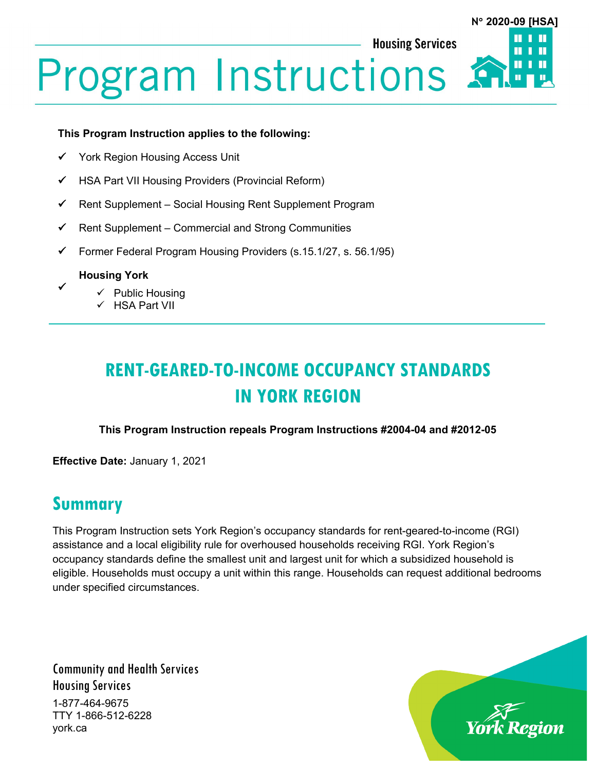**Housing Services** 



# **Program Instructions**

#### **This Program Instruction applies to the following:**

- York Region Housing Access Unit
- $\checkmark$  HSA Part VII Housing Providers (Provincial Reform)
- $\checkmark$  Rent Supplement Social Housing Rent Supplement Program
- $\checkmark$  Rent Supplement Commercial and Strong Communities
- $\checkmark$  Former Federal Program Housing Providers (s.15.1/27, s. 56.1/95)

**Housing York**

 $\checkmark$ 

- $\checkmark$  Public Housing
- $\checkmark$  HSA Part VII

# **RENT-GEARED-TO-INCOME OCCUPANCY STANDARDS IN YORK REGION**

#### **This Program Instruction repeals Program Instructions #2004-04 and #2012-05**

**Effective Date:** January 1, 2021

## **Summary**

This Program Instruction sets York Region's occupancy standards for rent-geared-to-income (RGI) assistance and a local eligibility rule for overhoused households receiving RGI. York Region's occupancy standards define the smallest unit and largest unit for which a subsidized household is eligible. Households must occupy a unit within this range. Households can request additional bedrooms under specified circumstances.

Community and Health Services Housing Services 1-877-464-9675 TTY 1-866-512-6228 york.ca

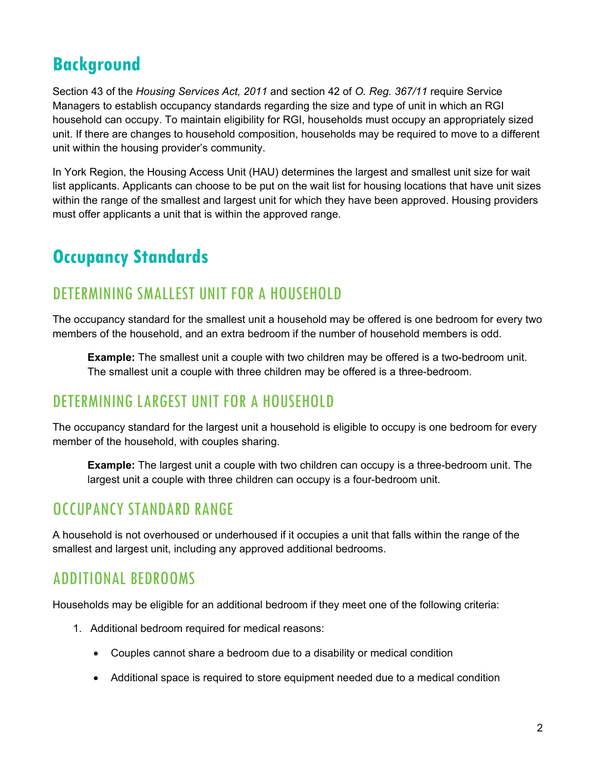## **Background**

Section 43 of the *Housing Services Act, 2011* and section 42 of *O. Reg. 367/11* require Service Managers to establish occupancy standards regarding the size and type of unit in which an RGI household can occupy. To maintain eligibility for RGI, households must occupy an appropriately sized unit. If there are changes to household composition, households may be required to move to a different unit within the housing provider's community.

In York Region, the Housing Access Unit (HAU) determines the largest and smallest unit size for wait list applicants. Applicants can choose to be put on the wait list for housing locations that have unit sizes within the range of the smallest and largest unit for which they have been approved. Housing providers must offer applicants a unit that is within the approved range.

## **Occupancy Standards**

## DETERMINING SMALLEST UNIT FOR A HOUSEHOLD

The occupancy standard for the smallest unit a household may be offered is one bedroom for every two members of the household, and an extra bedroom if the number of household members is odd.

**Example:** The smallest unit a couple with two children may be offered is a two-bedroom unit. The smallest unit a couple with three children may be offered is a three-bedroom.

### DETERMINING LARGEST UNIT FOR A HOUSEHOLD

The occupancy standard for the largest unit a household is eligible to occupy is one bedroom for every member of the household, with couples sharing.

**Example:** The largest unit a couple with two children can occupy is a three-bedroom unit. The largest unit a couple with three children can occupy is a four-bedroom unit.

## OCCUPANCY STANDARD RANGE

A household is not overhoused or underhoused if it occupies a unit that falls within the range of the smallest and largest unit, including any approved additional bedrooms.

## ADDITIONAL BEDROOMS

Households may be eligible for an additional bedroom if they meet one of the following criteria:

- 1. Additional bedroom required for medical reasons:
	- Couples cannot share a bedroom due to a disability or medical condition
	- Additional space is required to store equipment needed due to a medical condition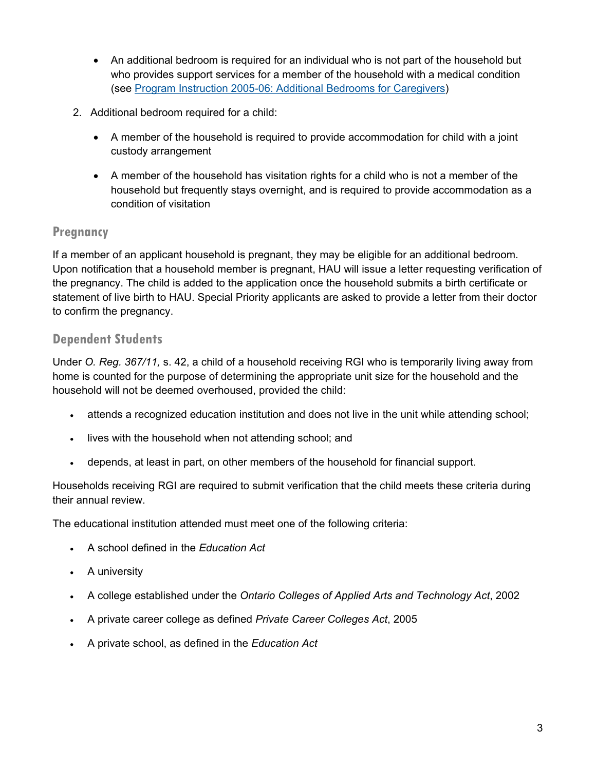- An additional bedroom is required for an individual who is not part of the household but who provides support services for a member of the household with a medical condition (see [Program Instruction 2005-06: Additional Bedrooms for Caregivers\)](https://www.york.ca/wps/wcm/connect/yorkpublic/f3fe1e2a-68fe-4cda-9919-9e0fcede720c/Additional+Bedrooms+for+Caregivers+2005-06.pdf?MOD=AJPERES&CVID=mukzU4k)
- 2. Additional bedroom required for a child:
	- A member of the household is required to provide accommodation for child with a joint custody arrangement
	- A member of the household has visitation rights for a child who is not a member of the household but frequently stays overnight, and is required to provide accommodation as a condition of visitation

#### **Pregnancy**

If a member of an applicant household is pregnant, they may be eligible for an additional bedroom. Upon notification that a household member is pregnant, HAU will issue a letter requesting verification of the pregnancy. The child is added to the application once the household submits a birth certificate or statement of live birth to HAU. Special Priority applicants are asked to provide a letter from their doctor to confirm the pregnancy.

#### **Dependent Students**

Under *O. Reg. 367/11,* s. 42, a child of a household receiving RGI who is temporarily living away from home is counted for the purpose of determining the appropriate unit size for the household and the household will not be deemed overhoused, provided the child:

- attends a recognized education institution and does not live in the unit while attending school;
- lives with the household when not attending school; and
- depends, at least in part, on other members of the household for financial support.

Households receiving RGI are required to submit verification that the child meets these criteria during their annual review.

The educational institution attended must meet one of the following criteria:

- A school defined in the *Education Act*
- A university
- A college established under the *Ontario Colleges of Applied Arts and Technology Act*, 2002
- A private career college as defined *Private Career Colleges Act*, 2005
- A private school, as defined in the *Education Act*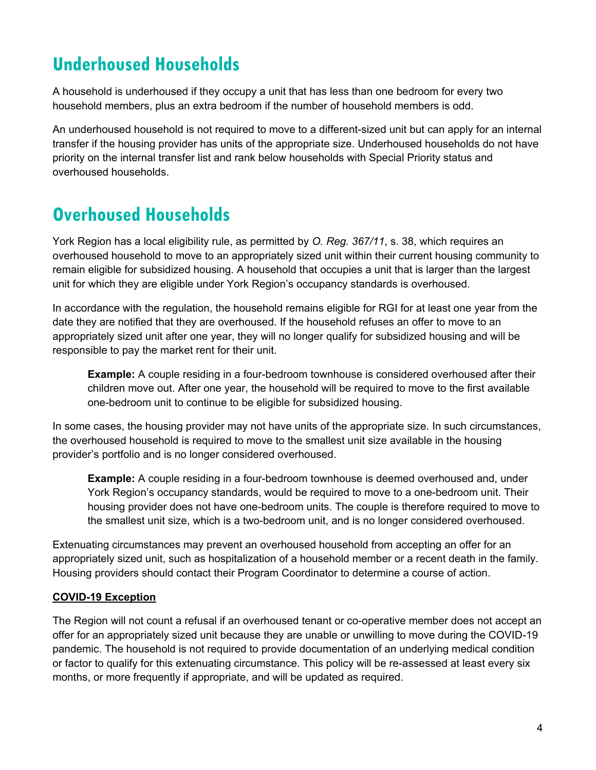# **Underhoused Households**

A household is underhoused if they occupy a unit that has less than one bedroom for every two household members, plus an extra bedroom if the number of household members is odd.

An underhoused household is not required to move to a different-sized unit but can apply for an internal transfer if the housing provider has units of the appropriate size. Underhoused households do not have priority on the internal transfer list and rank below households with Special Priority status and overhoused households.

## **Overhoused Households**

York Region has a local eligibility rule, as permitted by *O. Reg. 367/11*, s. 38, which requires an overhoused household to move to an appropriately sized unit within their current housing community to remain eligible for subsidized housing. A household that occupies a unit that is larger than the largest unit for which they are eligible under York Region's occupancy standards is overhoused.

In accordance with the regulation, the household remains eligible for RGI for at least one year from the date they are notified that they are overhoused. If the household refuses an offer to move to an appropriately sized unit after one year, they will no longer qualify for subsidized housing and will be responsible to pay the market rent for their unit.

**Example:** A couple residing in a four-bedroom townhouse is considered overhoused after their children move out. After one year, the household will be required to move to the first available one-bedroom unit to continue to be eligible for subsidized housing.

In some cases, the housing provider may not have units of the appropriate size. In such circumstances, the overhoused household is required to move to the smallest unit size available in the housing provider's portfolio and is no longer considered overhoused.

**Example:** A couple residing in a four-bedroom townhouse is deemed overhoused and, under York Region's occupancy standards, would be required to move to a one-bedroom unit. Their housing provider does not have one-bedroom units. The couple is therefore required to move to the smallest unit size, which is a two-bedroom unit, and is no longer considered overhoused.

Extenuating circumstances may prevent an overhoused household from accepting an offer for an appropriately sized unit, such as hospitalization of a household member or a recent death in the family. Housing providers should contact their Program Coordinator to determine a course of action.

#### **COVID-19 Exception**

The Region will not count a refusal if an overhoused tenant or co-operative member does not accept an offer for an appropriately sized unit because they are unable or unwilling to move during the COVID-19 pandemic. The household is not required to provide documentation of an underlying medical condition or factor to qualify for this extenuating circumstance. This policy will be re-assessed at least every six months, or more frequently if appropriate, and will be updated as required.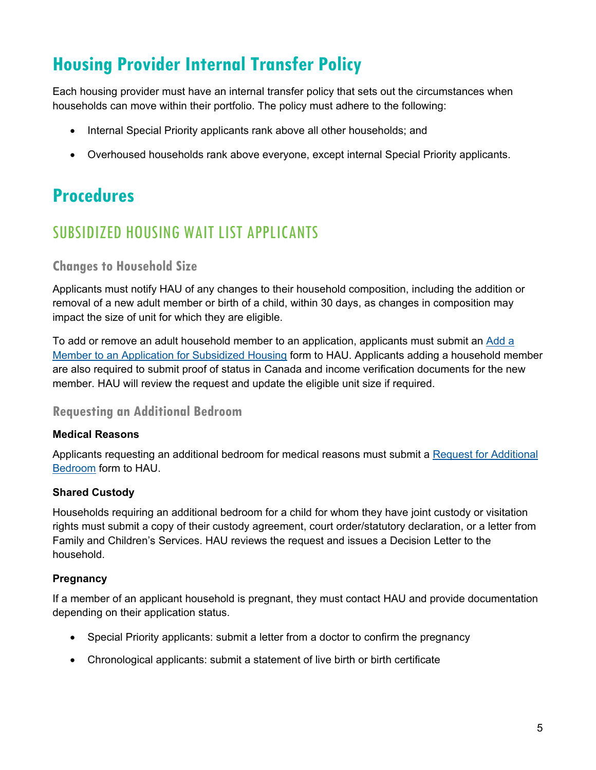# **Housing Provider Internal Transfer Policy**

Each housing provider must have an internal transfer policy that sets out the circumstances when households can move within their portfolio. The policy must adhere to the following:

- Internal Special Priority applicants rank above all other households; and
- Overhoused households rank above everyone, except internal Special Priority applicants.

## **Procedures**

## SUBSIDIZED HOUSING WAIT LIST APPLICANTS

#### **Changes to Household Size**

Applicants must notify HAU of any changes to their household composition, including the addition or removal of a new adult member or birth of a child, within 30 days, as changes in composition may impact the size of unit for which they are eligible.

To add or remove an adult household member to an application, applicants must submit an [Add](https://www.york.ca/wps/wcm/connect/yorkpublic/efe7a15c-434d-4432-a843-dbab1201149e/Adding+a+Member+to+an+Application+for+Subsidized+Housing.pdf?MOD=AJPERES&CVID=mu8d4m9) a [Member to an Application for Subsidized Housing](https://www.york.ca/wps/wcm/connect/yorkpublic/efe7a15c-434d-4432-a843-dbab1201149e/Adding+a+Member+to+an+Application+for+Subsidized+Housing.pdf?MOD=AJPERES&CVID=mu8d4m9) form to HAU. Applicants adding a household member are also required to submit proof of status in Canada and income verification documents for the new member. HAU will review the request and update the eligible unit size if required.

#### **Requesting an Additional Bedroom**

#### **Medical Reasons**

Applicants requesting an additional bedroom for medical reasons must submit a [Request for Additional](https://www.york.ca/wps/wcm/connect/yorkpublic/3972973b-d59f-4042-bb5f-97f551e4ccf3/Request+for+Additional+Bedroom.pdf?MOD=AJPERES&CVID=mul7tDP)  [Bedroom](https://www.york.ca/wps/wcm/connect/yorkpublic/3972973b-d59f-4042-bb5f-97f551e4ccf3/Request+for+Additional+Bedroom.pdf?MOD=AJPERES&CVID=mul7tDP) form to HAU.

#### **Shared Custody**

Households requiring an additional bedroom for a child for whom they have joint custody or visitation rights must submit a copy of their custody agreement, court order/statutory declaration, or a letter from Family and Children's Services. HAU reviews the request and issues a Decision Letter to the household.

#### **Pregnancy**

If a member of an applicant household is pregnant, they must contact HAU and provide documentation depending on their application status.

- Special Priority applicants: submit a letter from a doctor to confirm the pregnancy
- Chronological applicants: submit a statement of live birth or birth certificate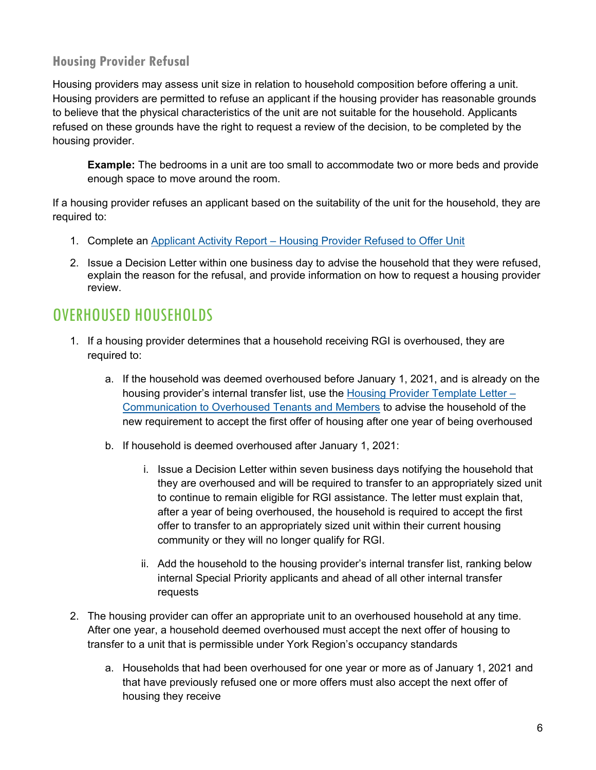#### **Housing Provider Refusal**

Housing providers may assess unit size in relation to household composition before offering a unit. Housing providers are permitted to refuse an applicant if the housing provider has reasonable grounds to believe that the physical characteristics of the unit are not suitable for the household. Applicants refused on these grounds have the right to request a review of the decision, to be completed by the housing provider.

**Example:** The bedrooms in a unit are too small to accommodate two or more beds and provide enough space to move around the room.

If a housing provider refuses an applicant based on the suitability of the unit for the household, they are required to:

- 1. Complete an Applicant Activity Report [Housing Provider Refused to Offer Unit](https://www.york.ca/wps/wcm/connect/yorkpublic/41a82b17-a5e1-4930-9a71-1f1ccb357f9a/Applicant-Activity-Report-Housing-Provider-Refused-to-Offer-Unit.docx?MOD=AJPERES&attachment=true&id=1608135863977)
- 2. Issue a Decision Letter within one business day to advise the household that they were refused, explain the reason for the refusal, and provide information on how to request a housing provider review.

## OVERHOUSED HOUSEHOLDS

- 1. If a housing provider determines that a household receiving RGI is overhoused, they are required to:
	- a. If the household was deemed overhoused before January 1, 2021, and is already on the housing provider's internal transfer list, use the [Housing Provider Template Letter –](https://www.york.ca/wps/wcm/connect/yorkpublic/1d3b3f56-7d4d-4c76-9df2-b02b5ccedc57/Housing-Provider-Template-Letter-Communication-to-Overhoused-Tenants-and-Members.docx?MOD=AJPERES&attachment=true&id=1608135160947) [Communication to Overhoused Tenants and Members](https://www.york.ca/wps/wcm/connect/yorkpublic/1d3b3f56-7d4d-4c76-9df2-b02b5ccedc57/Housing-Provider-Template-Letter-Communication-to-Overhoused-Tenants-and-Members.docx?MOD=AJPERES&attachment=true&id=1608135160947) to advise the household of the new requirement to accept the first offer of housing after one year of being overhoused
	- b. If household is deemed overhoused after January 1, 2021:
		- i. Issue a Decision Letter within seven business days notifying the household that they are overhoused and will be required to transfer to an appropriately sized unit to continue to remain eligible for RGI assistance. The letter must explain that, after a year of being overhoused, the household is required to accept the first offer to transfer to an appropriately sized unit within their current housing community or they will no longer qualify for RGI.
		- ii. Add the household to the housing provider's internal transfer list, ranking below internal Special Priority applicants and ahead of all other internal transfer requests
- 2. The housing provider can offer an appropriate unit to an overhoused household at any time. After one year, a household deemed overhoused must accept the next offer of housing to transfer to a unit that is permissible under York Region's occupancy standards
	- a. Households that had been overhoused for one year or more as of January 1, 2021 and that have previously refused one or more offers must also accept the next offer of housing they receive